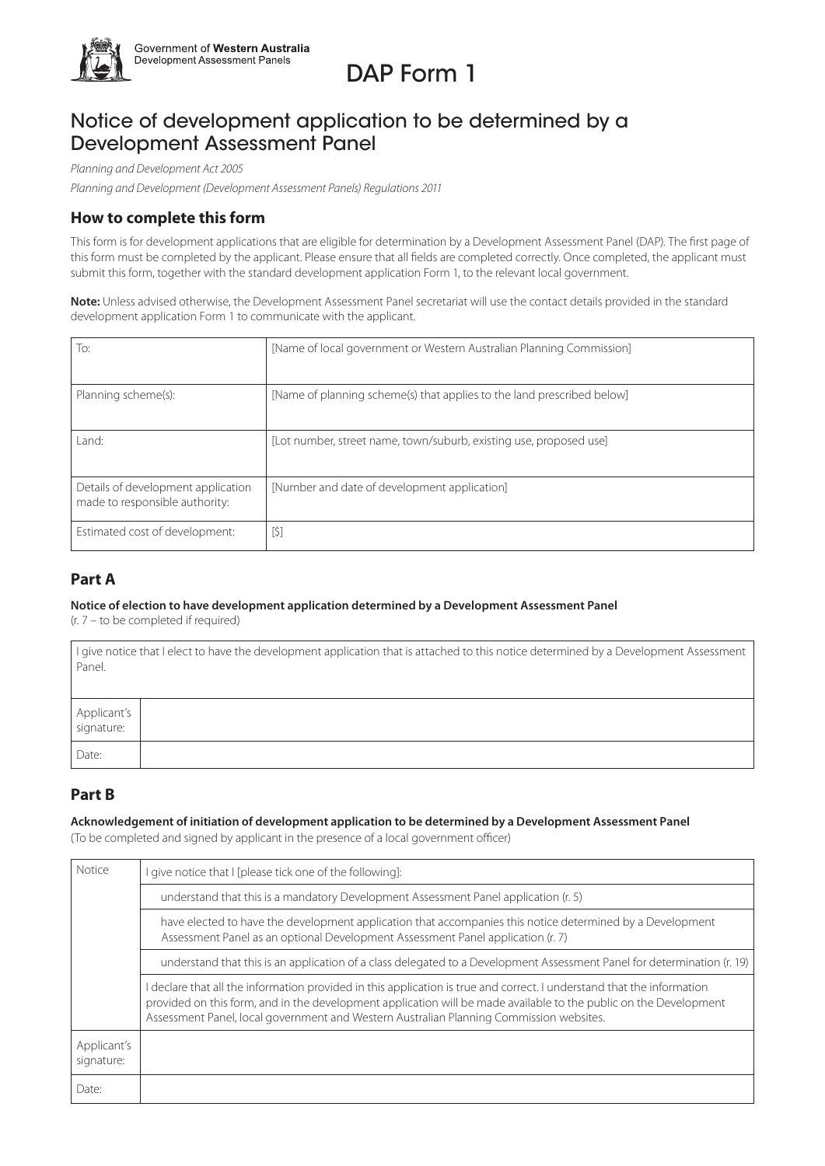

# DAP Form 1

## Notice of development application to be determined by a Development Assessment Panel

*Planning and Development Act 2005*

*Planning and Development (Development Assessment Panels) Regulations 2011* 

### **How to complete this form**

This form is for development applications that are eligible for determination by a Development Assessment Panel (DAP). The first page of this form must be completed by the applicant. Please ensure that all fields are completed correctly. Once completed, the applicant must submit this form, together with the standard development application Form 1, to the relevant local government.

**Note:** Unless advised otherwise, the Development Assessment Panel secretariat will use the contact details provided in the standard development application Form 1 to communicate with the applicant.

| To:                                                                  | [Name of local government or Western Australian Planning Commission]   |
|----------------------------------------------------------------------|------------------------------------------------------------------------|
| Planning scheme(s):                                                  | [Name of planning scheme(s) that applies to the land prescribed below] |
| Land:                                                                | [Lot number, street name, town/suburb, existing use, proposed use]     |
| Details of development application<br>made to responsible authority: | [Number and date of development application]                           |
| Estimated cost of development:                                       | $[5]$                                                                  |

### **Part A**

### **Notice of election to have development application determined by a Development Assessment Panel**

(r. 7 – to be completed if required)

| Panel.                    | I give notice that I elect to have the development application that is attached to this notice determined by a Development Assessment |
|---------------------------|---------------------------------------------------------------------------------------------------------------------------------------|
| Applicant's<br>signature: |                                                                                                                                       |
| Date:                     |                                                                                                                                       |

### **Part B**

### **Acknowledgement of initiation of development application to be determined by a Development Assessment Panel**

(To be completed and signed by applicant in the presence of a local government officer)

| Notice                    | I give notice that I [please tick one of the following]:                                                                                                                                                                                                                                                                               |  |
|---------------------------|----------------------------------------------------------------------------------------------------------------------------------------------------------------------------------------------------------------------------------------------------------------------------------------------------------------------------------------|--|
|                           | understand that this is a mandatory Development Assessment Panel application (r. 5)                                                                                                                                                                                                                                                    |  |
|                           | have elected to have the development application that accompanies this notice determined by a Development<br>Assessment Panel as an optional Development Assessment Panel application (r. 7)                                                                                                                                           |  |
|                           | understand that this is an application of a class delegated to a Development Assessment Panel for determination (r. 19)                                                                                                                                                                                                                |  |
|                           | I declare that all the information provided in this application is true and correct. I understand that the information<br>provided on this form, and in the development application will be made available to the public on the Development<br>Assessment Panel, local government and Western Australian Planning Commission websites. |  |
| Applicant's<br>signature: |                                                                                                                                                                                                                                                                                                                                        |  |
| Date:                     |                                                                                                                                                                                                                                                                                                                                        |  |